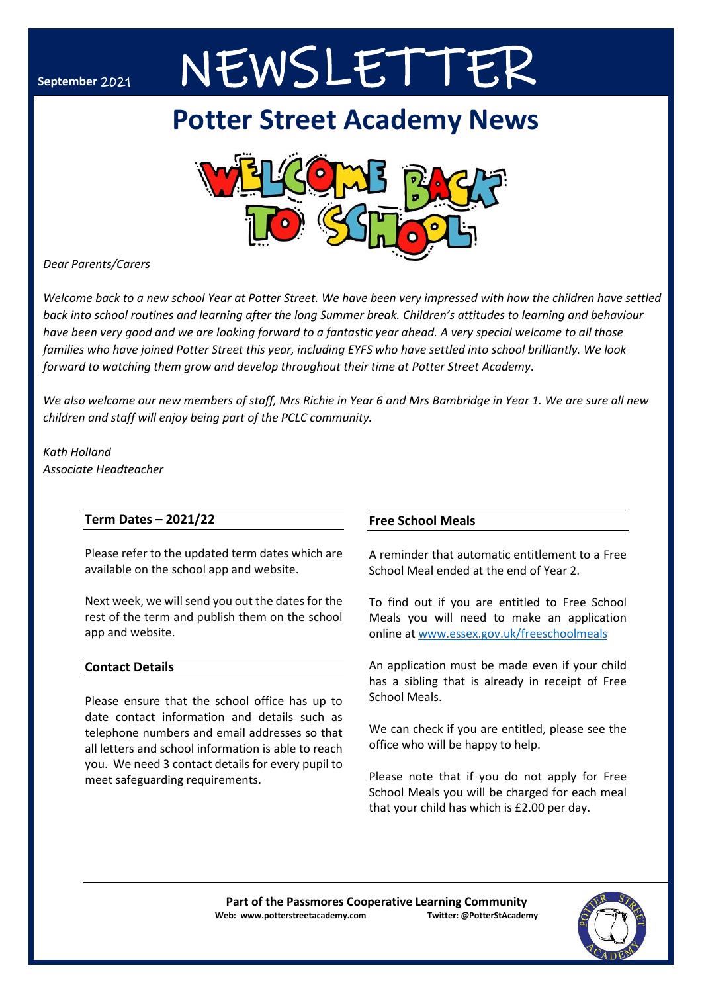# **September** 2021 NEWSLETTER

## **Potter Street Academy News**



*Dear Parents/Carers*

*Welcome back to a new school Year at Potter Street. We have been very impressed with how the children have settled back into school routines and learning after the long Summer break. Children's attitudes to learning and behaviour have been very good and we are looking forward to a fantastic year ahead. A very special welcome to all those families who have joined Potter Street this year, including EYFS who have settled into school brilliantly. We look forward to watching them grow and develop throughout their time at Potter Street Academy*.

*We also welcome our new members of staff, Mrs Richie in Year 6 and Mrs Bambridge in Year 1. We are sure all new children and staff will enjoy being part of the PCLC community.*

*Kath Holland Associate Headteacher*

### **Term Dates – 2021/22**

Please refer to the updated term dates which are available on the school app and website.

Next week, we will send you out the dates for the rest of the term and publish them on the school app and website.

### **Contact Details**

Please ensure that the school office has up to date contact information and details such as telephone numbers and email addresses so that all letters and school information is able to reach you. We need 3 contact details for every pupil to meet safeguarding requirements.

### **Free School Meals**

A reminder that automatic entitlement to a Free School Meal ended at the end of Year 2.

To find out if you are entitled to Free School Meals you will need to make an application online at [www.essex.gov.uk/freeschoolmeals](file:///C:/Users/k.holland/Downloads/www.essex.gov.uk/freeschoolmeals)

An application must be made even if your child has a sibling that is already in receipt of Free School Meals.

We can check if you are entitled, please see the office who will be happy to help.

Please note that if you do not apply for Free School Meals you will be charged for each meal that your child has which is £2.00 per day.

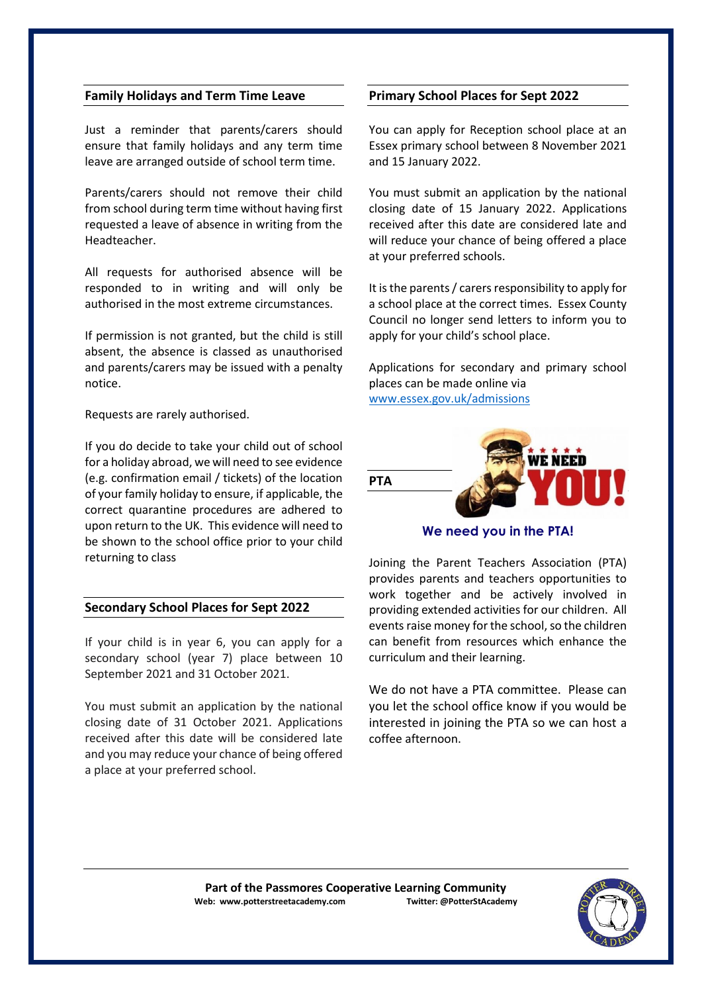#### **Family Holidays and Term Time Leave**

Just a reminder that parents/carers should ensure that family holidays and any term time leave are arranged outside of school term time.

Parents/carers should not remove their child from school during term time without having first requested a leave of absence in writing from the Headteacher.

All requests for authorised absence will be responded to in writing and will only be authorised in the most extreme circumstances.

If permission is not granted, but the child is still absent, the absence is classed as unauthorised and parents/carers may be issued with a penalty notice.

Requests are rarely authorised.

If you do decide to take your child out of school for a holiday abroad, we will need to see evidence (e.g. confirmation email / tickets) of the location of your family holiday to ensure, if applicable, the correct quarantine procedures are adhered to upon return to the UK. This evidence will need to be shown to the school office prior to your child returning to class

#### **Secondary School Places for Sept 2022**

If your child is in year 6, you can apply for a secondary school (year 7) place between 10 September 2021 and 31 October 2021.

You must submit an application by the national closing date of 31 October 2021. Applications received after this date will be considered late and you may reduce your chance of being offered a place at your preferred school.

#### **Primary School Places for Sept 2022**

You can apply for Reception school place at an Essex primary school between 8 November 2021 and 15 January 2022.

You must submit an application by the national closing date of 15 January 2022. Applications received after this date are considered late and will reduce your chance of being offered a place at your preferred schools.

It is the parents / carers responsibility to apply for a school place at the correct times. Essex County Council no longer send letters to inform you to apply for your child's school place.

Applications for secondary and primary school places can be made online via [www.essex.gov.uk/admissions](http://www.essex.gov.uk/admissions)



**We need you in the PTA!**

Joining the Parent Teachers Association (PTA) provides parents and teachers opportunities to work together and be actively involved in providing extended activities for our children. All events raise money for the school, so the children can benefit from resources which enhance the curriculum and their learning.

We do not have a PTA committee. Please can you let the school office know if you would be interested in joining the PTA so we can host a coffee afternoon.